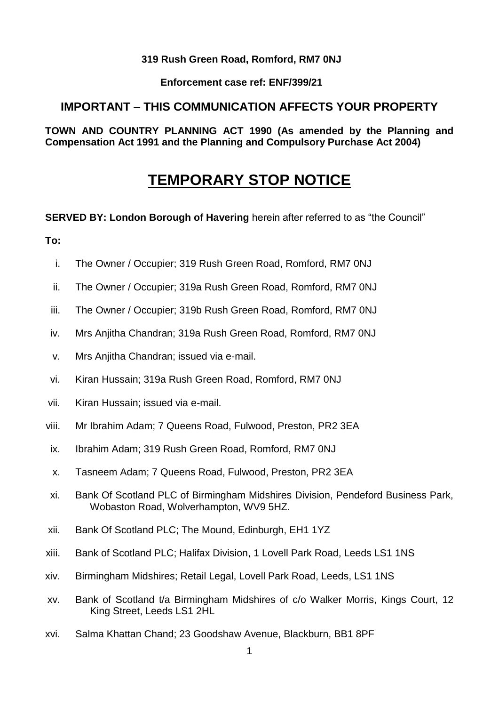#### **319 Rush Green Road, Romford, RM7 0NJ**

**Enforcement case ref: ENF/399/21** 

# **IMPORTANT – THIS COMMUNICATION AFFECTS YOUR PROPERTY**

 **TOWN AND COUNTRY PLANNING ACT 1990 (As amended by the Planning and Compensation Act 1991 and the Planning and Compulsory Purchase Act 2004)** 

# **TEMPORARY STOP NOTICE**

**SERVED BY: London Borough of Havering herein after referred to as "the Council"** 

**To:** 

- i. The Owner / Occupier; 319 Rush Green Road, Romford, RM7 0NJ
- ii. The Owner / Occupier; 319a Rush Green Road, Romford, RM7 0NJ
- iii. The Owner / Occupier; 319b Rush Green Road, Romford, RM7 0NJ
- iv. Mrs Anjitha Chandran; 319a Rush Green Road, Romford, RM7 0NJ
- v. Mrs Anjitha Chandran; issued via e-mail.
- vi. Kiran Hussain; 319a Rush Green Road, Romford, RM7 0NJ
- vii. Kiran Hussain; issued via e-mail.
- viii. Mr Ibrahim Adam; 7 Queens Road, Fulwood, Preston, PR2 3EA
- ix. Ibrahim Adam; 319 Rush Green Road, Romford, RM7 0NJ
- x. Tasneem Adam; 7 Queens Road, Fulwood, Preston, PR2 3EA
- xi. Bank Of Scotland PLC of Birmingham Midshires Division, Pendeford Business Park, Wobaston Road, Wolverhampton, WV9 5HZ.
- xii. Bank Of Scotland PLC; The Mound, Edinburgh, EH1 1YZ
- xiii. Bank of Scotland PLC; Halifax Division, 1 Lovell Park Road, Leeds LS1 1NS
- xiv. Birmingham Midshires; Retail Legal, Lovell Park Road, Leeds, LS1 1NS
- xv. Bank of Scotland t/a Birmingham Midshires of c/o Walker Morris, Kings Court, 12 King Street, Leeds LS1 2HL
- xvi. Salma Khattan Chand; 23 Goodshaw Avenue, Blackburn, BB1 8PF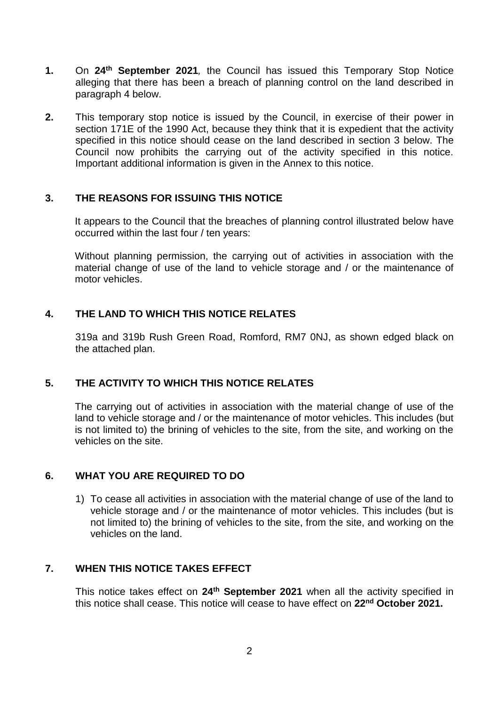- **1.** On **24th September 2021***,* the Council has issued this Temporary Stop Notice alleging that there has been a breach of planning control on the land described in paragraph 4 below.
- **2.** This temporary stop notice is issued by the Council, in exercise of their power in section 171E of the 1990 Act, because they think that it is expedient that the activity specified in this notice should cease on the land described in section 3 below. The Council now prohibits the carrying out of the activity specified in this notice. Important additional information is given in the Annex to this notice.

#### **3. THE REASONS FOR ISSUING THIS NOTICE**

 It appears to the Council that the breaches of planning control illustrated below have occurred within the last four / ten years:

 Without planning permission, the carrying out of activities in association with the material change of use of the land to vehicle storage and / or the maintenance of motor vehicles.

## **4. THE LAND TO WHICH THIS NOTICE RELATES**

 319a and 319b Rush Green Road, Romford, RM7 0NJ, as shown edged black on the attached plan.

## **5. THE ACTIVITY TO WHICH THIS NOTICE RELATES**

 The carrying out of activities in association with the material change of use of the land to vehicle storage and / or the maintenance of motor vehicles. This includes (but is not limited to) the brining of vehicles to the site, from the site, and working on the vehicles on the site.

#### **6. WHAT YOU ARE REQUIRED TO DO**

 1) To cease all activities in association with the material change of use of the land to vehicle storage and / or the maintenance of motor vehicles. This includes (but is not limited to) the brining of vehicles to the site, from the site, and working on the vehicles on the land.

#### **7. WHEN THIS NOTICE TAKES EFFECT**

 This notice takes effect on **24th September 2021** when all the activity specified in this notice shall cease. This notice will cease to have effect on **22nd October 2021.**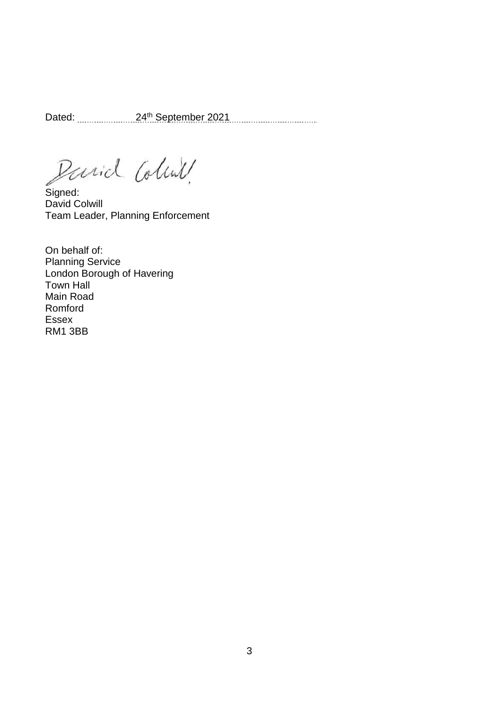Dated: 24th September 2021

Parid Coline

Signed: David Colwill Team Leader, Planning Enforcement

On behalf of: Planning Service London Borough of Havering Town Hall Main Road Romford Essex RM1 3BB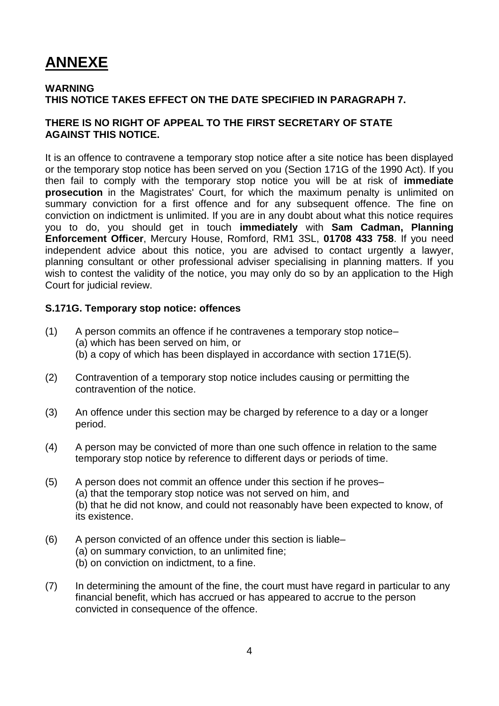# **ANNEXE**

#### **WARNING THIS NOTICE TAKES EFFECT ON THE DATE SPECIFIED IN PARAGRAPH 7.**

#### **THERE IS NO RIGHT OF APPEAL TO THE FIRST SECRETARY OF STATE AGAINST THIS NOTICE.**

 It is an offence to contravene a temporary stop notice after a site notice has been displayed or the temporary stop notice has been served on you (Section 171G of the 1990 Act). If you then fail to comply with the temporary stop notice you will be at risk of **immediate prosecution** in the Magistrates' Court, for which the maximum penalty is unlimited on summary conviction for a first offence and for any subsequent offence. The fine on conviction on indictment is unlimited. If you are in any doubt about what this notice requires you to do, you should get in touch **immediately** with **Sam Cadman, Planning Enforcement Officer**, Mercury House, Romford, RM1 3SL, **01708 433 758**. If you need independent advice about this notice, you are advised to contact urgently a lawyer, wish to contest the validity of the notice, you may only do so by an application to the High planning consultant or other professional adviser specialising in planning matters. If you Court for judicial review.

#### **S.171G. Temporary stop notice: offences**

- (1) A person commits an offence if he contravenes a temporary stop notice– (a) which has been served on him, or (b) a copy of which has been displayed in accordance with section 171E(5).
- (2) Contravention of a temporary stop notice includes causing or permitting the contravention of the notice.
- (3) An offence under this section may be charged by reference to a day or a longer period.
- (4) A person may be convicted of more than one such offence in relation to the same temporary stop notice by reference to different days or periods of time.
- (5) A person does not commit an offence under this section if he proves– (a) that the temporary stop notice was not served on him, and (b) that he did not know, and could not reasonably have been expected to know, of its existence.
- (6) A person convicted of an offence under this section is liable–
	- (a) on summary conviction, to an unlimited fine;
	- (b) on conviction on indictment, to a fine.
- (7) In determining the amount of the fine, the court must have regard in particular to any financial benefit, which has accrued or has appeared to accrue to the person convicted in consequence of the offence.